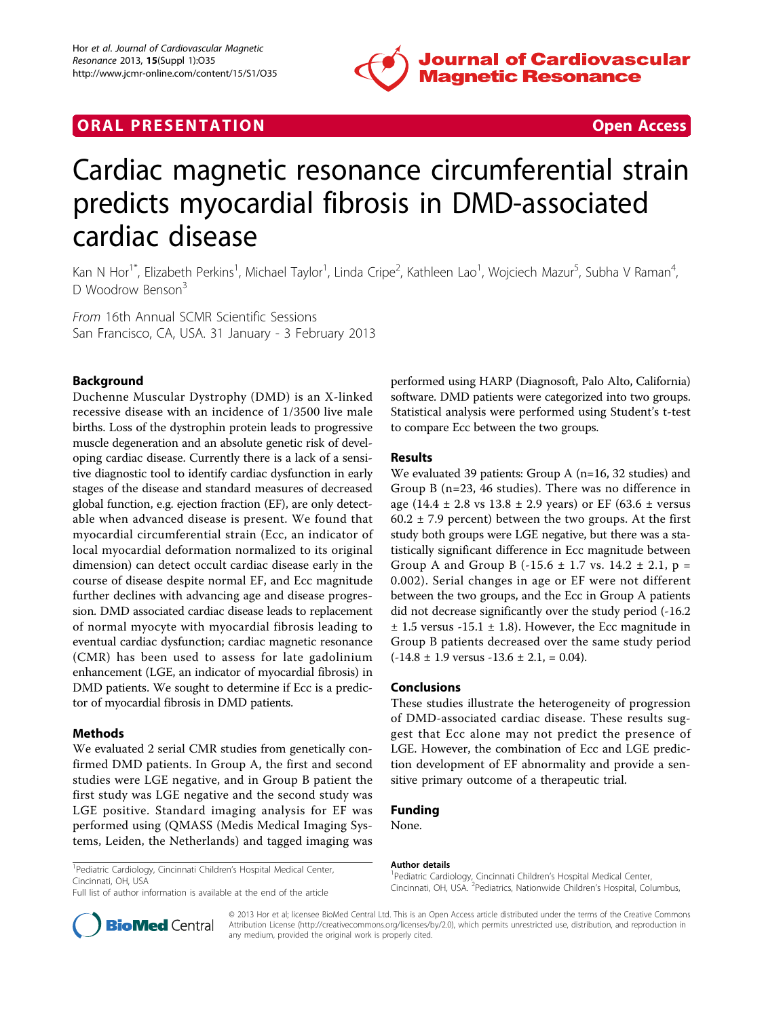

# **ORAL PRESENTATION CONSUMING ACCESS**

# Cardiac magnetic resonance circumferential strain predicts myocardial fibrosis in DMD-associated cardiac disease

Kan N Hor<sup>1\*</sup>, Elizabeth Perkins<sup>1</sup>, Michael Taylor<sup>1</sup>, Linda Cripe<sup>2</sup>, Kathleen Lao<sup>1</sup>, Wojciech Mazur<sup>5</sup>, Subha V Raman<sup>4</sup> , D Woodrow Benson<sup>3</sup>

From 16th Annual SCMR Scientific Sessions San Francisco, CA, USA. 31 January - 3 February 2013

### Background

Duchenne Muscular Dystrophy (DMD) is an X-linked recessive disease with an incidence of 1/3500 live male births. Loss of the dystrophin protein leads to progressive muscle degeneration and an absolute genetic risk of developing cardiac disease. Currently there is a lack of a sensitive diagnostic tool to identify cardiac dysfunction in early stages of the disease and standard measures of decreased global function, e.g. ejection fraction (EF), are only detectable when advanced disease is present. We found that myocardial circumferential strain (Ecc, an indicator of local myocardial deformation normalized to its original dimension) can detect occult cardiac disease early in the course of disease despite normal EF, and Ecc magnitude further declines with advancing age and disease progression. DMD associated cardiac disease leads to replacement of normal myocyte with myocardial fibrosis leading to eventual cardiac dysfunction; cardiac magnetic resonance (CMR) has been used to assess for late gadolinium enhancement (LGE, an indicator of myocardial fibrosis) in DMD patients. We sought to determine if Ecc is a predictor of myocardial fibrosis in DMD patients.

#### **Methods**

We evaluated 2 serial CMR studies from genetically confirmed DMD patients. In Group A, the first and second studies were LGE negative, and in Group B patient the first study was LGE negative and the second study was LGE positive. Standard imaging analysis for EF was performed using (QMASS (Medis Medical Imaging Systems, Leiden, the Netherlands) and tagged imaging was performed using HARP (Diagnosoft, Palo Alto, California) software. DMD patients were categorized into two groups. Statistical analysis were performed using Student's t-test to compare Ecc between the two groups.

#### Results

We evaluated 39 patients: Group A (n=16, 32 studies) and Group B (n=23, 46 studies). There was no difference in age (14.4  $\pm$  2.8 vs 13.8  $\pm$  2.9 years) or EF (63.6  $\pm$  versus 60.2  $\pm$  7.9 percent) between the two groups. At the first study both groups were LGE negative, but there was a statistically significant difference in Ecc magnitude between Group A and Group B  $(-15.6 \pm 1.7 \text{ vs. } 14.2 \pm 2.1, \text{ p} =$ 0.002). Serial changes in age or EF were not different between the two groups, and the Ecc in Group A patients did not decrease significantly over the study period (-16.2  $± 1.5$  versus -15.1  $± 1.8$ ). However, the Ecc magnitude in Group B patients decreased over the same study period  $(-14.8 \pm 1.9 \text{ versus } -13.6 \pm 2.1, = 0.04).$ 

#### Conclusions

These studies illustrate the heterogeneity of progression of DMD-associated cardiac disease. These results suggest that Ecc alone may not predict the presence of LGE. However, the combination of Ecc and LGE prediction development of EF abnormality and provide a sensitive primary outcome of a therapeutic trial.

## Funding

None.

#### Author details

<sup>1</sup> Pediatric Cardiology, Cincinnati Children's Hospital Medical Center, Cincinnati, OH, USA. <sup>2</sup>Pediatrics, Nationwide Children's Hospital, Columbus,



Full list of author information is available at the end of the article



© 2013 Hor et al; licensee BioMed Central Ltd. This is an Open Access article distributed under the terms of the Creative Commons Attribution License [\(http://creativecommons.org/licenses/by/2.0](http://creativecommons.org/licenses/by/2.0)), which permits unrestricted use, distribution, and reproduction in any medium, provided the original work is properly cited.